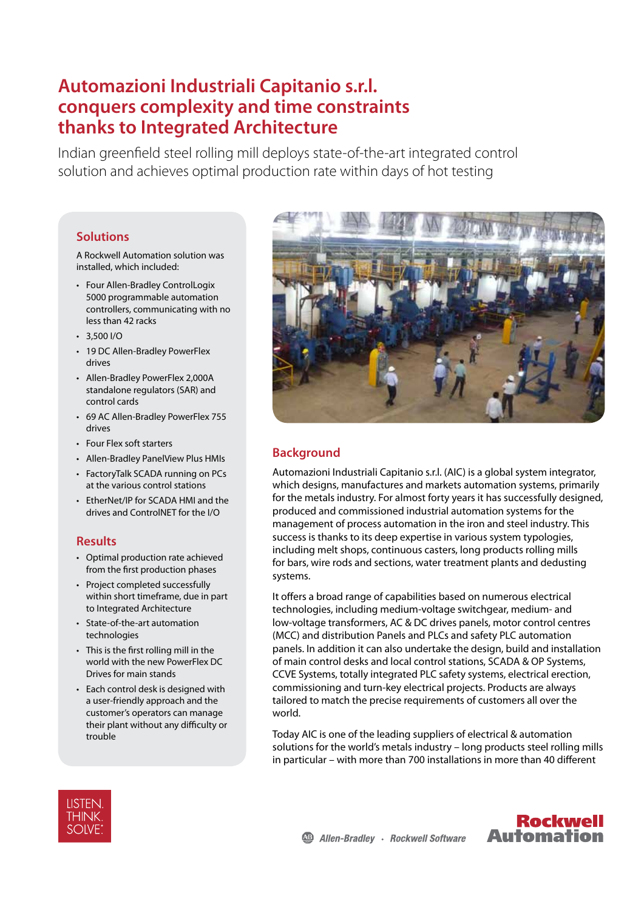# **Automazioni Industriali Capitanio s.r.l. conquers complexity and time constraints thanks to Integrated Architecture**

Indian greenfield steel rolling mill deploys state-of-the-art integrated control solution and achieves optimal production rate within days of hot testing

## **Solutions**

A Rockwell Automation solution was installed, which included:

- Four Allen-Bradley ControlLogix 5000 programmable automation controllers, communicating with no less than 42 racks
- $\cdot$  3,500 I/O
- 19 DC Allen-Bradley PowerFlex drives
- Allen-Bradley PowerFlex 2,000A standalone regulators (SAR) and control cards
- 69 AC Allen-Bradley PowerFlex 755 drives
- Four Flex soft starters
- Allen-Bradley PanelView Plus HMIs
- FactoryTalk SCADA running on PCs at the various control stations
- EtherNet/IP for SCADA HMI and the drives and ControlNET for the I/O

#### **Results**

- Optimal production rate achieved from the first production phases
- Project completed successfully within short timeframe, due in part to Integrated Architecture
- State-of-the-art automation technologies
- This is the first rolling mill in the world with the new PowerFlex DC Drives for main stands
- Each control desk is designed with a user-friendly approach and the customer's operators can manage their plant without any difficulty or trouble



# **Background**

Automazioni Industriali Capitanio s.r.l. (AIC) is a global system integrator, which designs, manufactures and markets automation systems, primarily for the metals industry. For almost forty years it has successfully designed, produced and commissioned industrial automation systems for the management of process automation in the iron and steel industry. This success is thanks to its deep expertise in various system typologies, including melt shops, continuous casters, long products rolling mills for bars, wire rods and sections, water treatment plants and dedusting systems.

It offers a broad range of capabilities based on numerous electrical technologies, including medium-voltage switchgear, medium- and low-voltage transformers, AC & DC drives panels, motor control centres (MCC) and distribution Panels and PLCs and safety PLC automation panels. In addition it can also undertake the design, build and installation of main control desks and local control stations, SCADA & OP Systems, CCVE Systems, totally integrated PLC safety systems, electrical erection, commissioning and turn-key electrical projects. Products are always tailored to match the precise requirements of customers all over the world.

Today AIC is one of the leading suppliers of electrical & automation solutions for the world's metals industry – long products steel rolling mills in particular – with more than 700 installations in more than 40 different



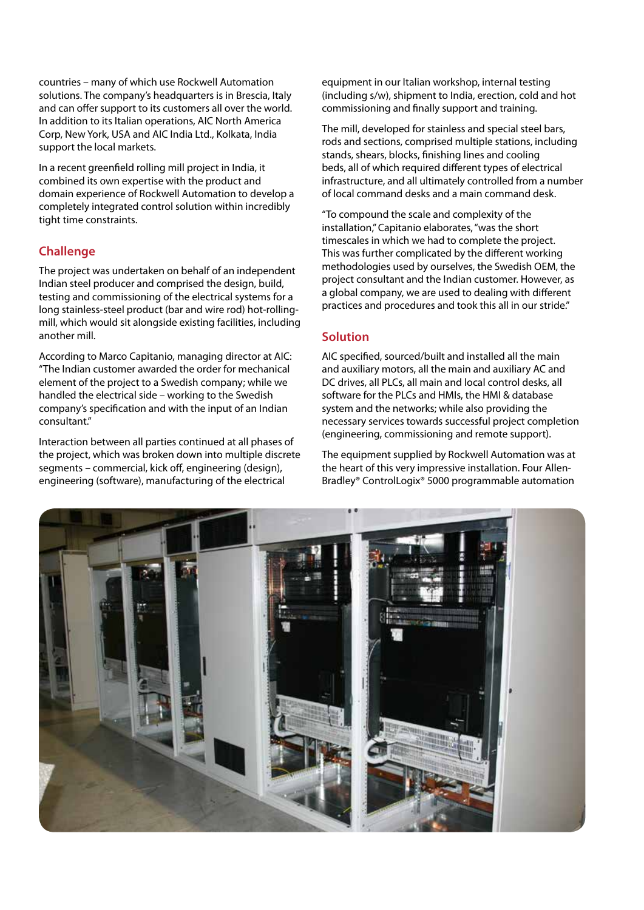countries – many of which use Rockwell Automation solutions. The company's headquarters is in Brescia, Italy and can offer support to its customers all over the world. In addition to its Italian operations, AIC North America Corp, New York, USA and AIC India Ltd., Kolkata, India support the local markets.

In a recent greenfield rolling mill project in India, it combined its own expertise with the product and domain experience of Rockwell Automation to develop a completely integrated control solution within incredibly tight time constraints.

## **Challenge**

The project was undertaken on behalf of an independent Indian steel producer and comprised the design, build, testing and commissioning of the electrical systems for a long stainless-steel product (bar and wire rod) hot-rollingmill, which would sit alongside existing facilities, including another mill.

According to Marco Capitanio, managing director at AIC: "The Indian customer awarded the order for mechanical element of the project to a Swedish company; while we handled the electrical side – working to the Swedish company's specification and with the input of an Indian consultant."

Interaction between all parties continued at all phases of the project, which was broken down into multiple discrete segments – commercial, kick off, engineering (design), engineering (software), manufacturing of the electrical

equipment in our Italian workshop, internal testing (including s/w), shipment to India, erection, cold and hot commissioning and finally support and training.

The mill, developed for stainless and special steel bars, rods and sections, comprised multiple stations, including stands, shears, blocks, finishing lines and cooling beds, all of which required different types of electrical infrastructure, and all ultimately controlled from a number of local command desks and a main command desk.

"To compound the scale and complexity of the installation," Capitanio elaborates, "was the short timescales in which we had to complete the project. This was further complicated by the different working methodologies used by ourselves, the Swedish OEM, the project consultant and the Indian customer. However, as a global company, we are used to dealing with different practices and procedures and took this all in our stride."

## **Solution**

AIC specified, sourced/built and installed all the main and auxiliary motors, all the main and auxiliary AC and DC drives, all PLCs, all main and local control desks, all software for the PLCs and HMIs, the HML& database system and the networks; while also providing the necessary services towards successful project completion (engineering, commissioning and remote support).

The equipment supplied by Rockwell Automation was at the heart of this very impressive installation. Four Allen-Bradley® ControlLogix® 5000 programmable automation

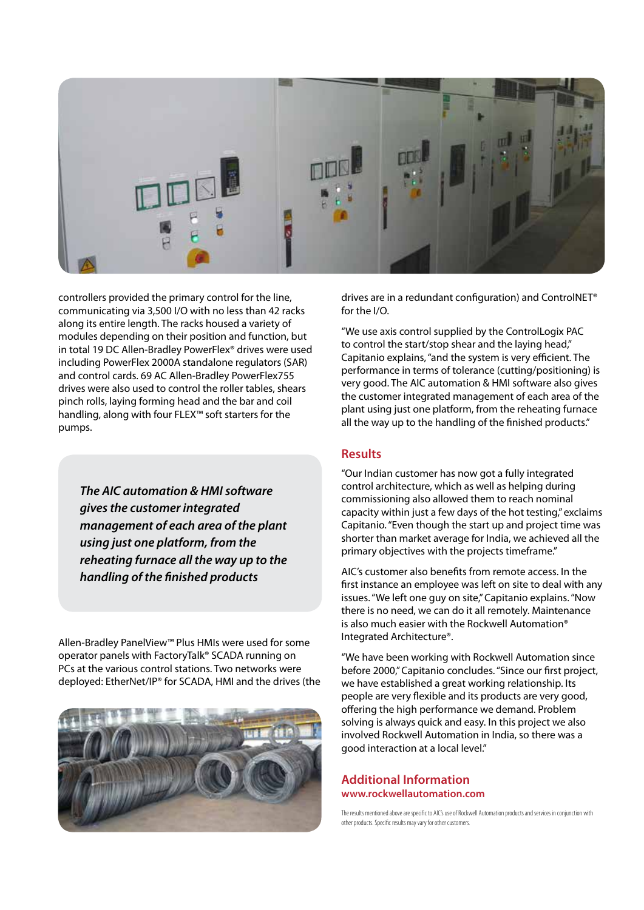

controllers provided the primary control for the line, communicating via 3,500 I/O with no less than 42 racks along its entire length. The racks housed a variety of modules depending on their position and function, but in total 19 DC Allen-Bradley PowerFlex® drives were used including PowerFlex 2000A standalone regulators (SAR) and control cards. 69 AC Allen-Bradley PowerFlex755 drives were also used to control the roller tables, shears pinch rolls, laying forming head and the bar and coil handling, along with four FLEX™ soft starters for the pumps.

*The AIC automation & HMI software gives the customer integrated management of each area of the plant using just one platform, from the reheating furnace all the way up to the handling of the finished products*

Allen-Bradley PanelView™ Plus HMIs were used for some operator panels with FactoryTalk® SCADA running on PCs at the various control stations. Two networks were deployed: EtherNet/IP® for SCADA, HMI and the drives (the



drives are in a redundant configuration) and ControlNET® for the I/O.

"We use axis control supplied by the ControlLogix PAC to control the start/stop shear and the laying head," Capitanio explains, "and the system is very efficient. The performance in terms of tolerance (cutting/positioning) is very good. The AIC automation & HMI software also gives the customer integrated management of each area of the plant using just one platform, from the reheating furnace all the way up to the handling of the finished products."

#### **Results**

"Our Indian customer has now got a fully integrated control architecture, which as well as helping during commissioning also allowed them to reach nominal capacity within just a few days of the hot testing," exclaims Capitanio. "Even though the start up and project time was shorter than market average for India, we achieved all the primary objectives with the projects timeframe."

AIC's customer also benefits from remote access. In the first instance an employee was left on site to deal with any issues. "We left one guy on site," Capitanio explains. "Now there is no need, we can do it all remotely. Maintenance is also much easier with the Rockwell Automation® Integrated Architecture®.

"We have been working with Rockwell Automation since before 2000," Capitanio concludes. "Since our first project, we have established a great working relationship. Its people are very flexible and its products are very good, offering the high performance we demand. Problem solving is always quick and easy. In this project we also involved Rockwell Automation in India, so there was a good interaction at a local level."

#### **Additional Information www.rockwellautomation.com**

The results mentioned above are specific to AIC's use of Rockwell Automation products and services in conjunction with other products. Specific results may vary for other customers.